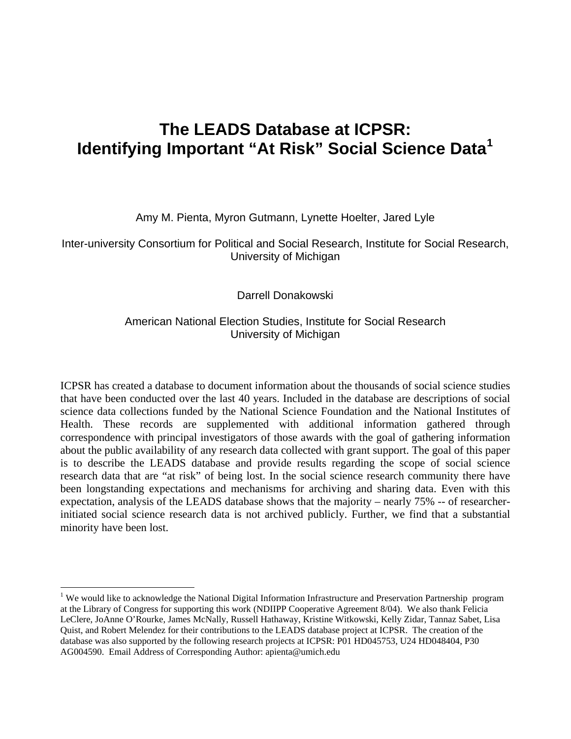# **The LEADS Database at ICPSR: Identifying Important "At Risk" Social Science Data[1](#page-0-0)**

Amy M. Pienta, Myron Gutmann, Lynette Hoelter, Jared Lyle

Inter-university Consortium for Political and Social Research, Institute for Social Research, University of Michigan

Darrell Donakowski

#### American National Election Studies, Institute for Social Research University of Michigan

ICPSR has created a database to document information about the thousands of social science studies that have been conducted over the last 40 years. Included in the database are descriptions of social science data collections funded by the National Science Foundation and the National Institutes of Health. These records are supplemented with additional information gathered through correspondence with principal investigators of those awards with the goal of gathering information about the public availability of any research data collected with grant support. The goal of this paper is to describe the LEADS database and provide results regarding the scope of social science research data that are "at risk" of being lost. In the social science research community there have been longstanding expectations and mechanisms for archiving and sharing data. Even with this expectation, analysis of the LEADS database shows that the majority – nearly 75% -- of researcherinitiated social science research data is not archived publicly. Further, we find that a substantial minority have been lost.

 $\overline{a}$ 

<span id="page-0-0"></span><sup>&</sup>lt;sup>1</sup> We would like to acknowledge the National Digital Information Infrastructure and Preservation Partnership program at the Library of Congress for supporting this work (NDIIPP Cooperative Agreement 8/04). We also thank Felicia LeClere, JoAnne O'Rourke, James McNally, Russell Hathaway, Kristine Witkowski, Kelly Zidar, Tannaz Sabet, Lisa Quist, and Robert Melendez for their contributions to the LEADS database project at ICPSR. The creation of the database was also supported by the following research projects at ICPSR: P01 HD045753, U24 HD048404, P30 AG004590. Email Address of Corresponding Author: apienta@umich.edu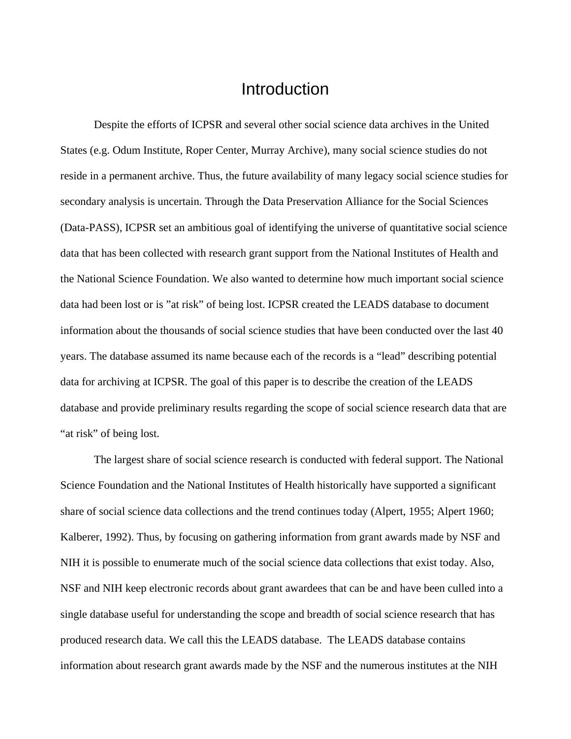#### Introduction

 Despite the efforts of ICPSR and several other social science data archives in the United States (e.g. Odum Institute, Roper Center, Murray Archive), many social science studies do not reside in a permanent archive. Thus, the future availability of many legacy social science studies for secondary analysis is uncertain. Through the Data Preservation Alliance for the Social Sciences (Data-PASS), ICPSR set an ambitious goal of identifying the universe of quantitative social science data that has been collected with research grant support from the National Institutes of Health and the National Science Foundation. We also wanted to determine how much important social science data had been lost or is "at risk" of being lost. ICPSR created the LEADS database to document information about the thousands of social science studies that have been conducted over the last 40 years. The database assumed its name because each of the records is a "lead" describing potential data for archiving at ICPSR. The goal of this paper is to describe the creation of the LEADS database and provide preliminary results regarding the scope of social science research data that are "at risk" of being lost.

 The largest share of social science research is conducted with federal support. The National Science Foundation and the National Institutes of Health historically have supported a significant share of social science data collections and the trend continues today (Alpert, 1955; Alpert 1960; Kalberer, 1992). Thus, by focusing on gathering information from grant awards made by NSF and NIH it is possible to enumerate much of the social science data collections that exist today. Also, NSF and NIH keep electronic records about grant awardees that can be and have been culled into a single database useful for understanding the scope and breadth of social science research that has produced research data. We call this the LEADS database. The LEADS database contains information about research grant awards made by the NSF and the numerous institutes at the NIH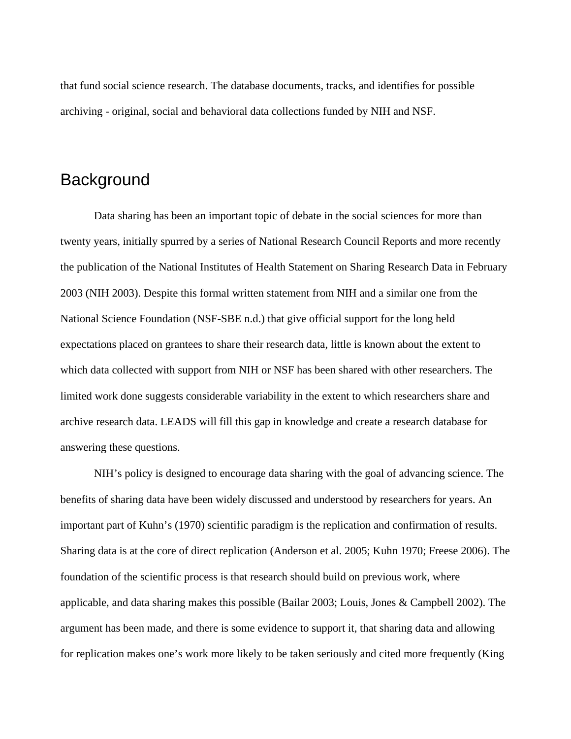that fund social science research. The database documents, tracks, and identifies for possible archiving - original, social and behavioral data collections funded by NIH and NSF.

#### **Background**

 Data sharing has been an important topic of debate in the social sciences for more than twenty years, initially spurred by a series of National Research Council Reports and more recently the publication of the National Institutes of Health Statement on Sharing Research Data in February 2003 (NIH 2003). Despite this formal written statement from NIH and a similar one from the National Science Foundation (NSF-SBE n.d.) that give official support for the long held expectations placed on grantees to share their research data, little is known about the extent to which data collected with support from NIH or NSF has been shared with other researchers. The limited work done suggests considerable variability in the extent to which researchers share and archive research data. LEADS will fill this gap in knowledge and create a research database for answering these questions.

 NIH's policy is designed to encourage data sharing with the goal of advancing science. The benefits of sharing data have been widely discussed and understood by researchers for years. An important part of Kuhn's (1970) scientific paradigm is the replication and confirmation of results. Sharing data is at the core of direct replication (Anderson et al. 2005; Kuhn 1970; Freese 2006). The foundation of the scientific process is that research should build on previous work, where applicable, and data sharing makes this possible (Bailar 2003; Louis, Jones & Campbell 2002). The argument has been made, and there is some evidence to support it, that sharing data and allowing for replication makes one's work more likely to be taken seriously and cited more frequently (King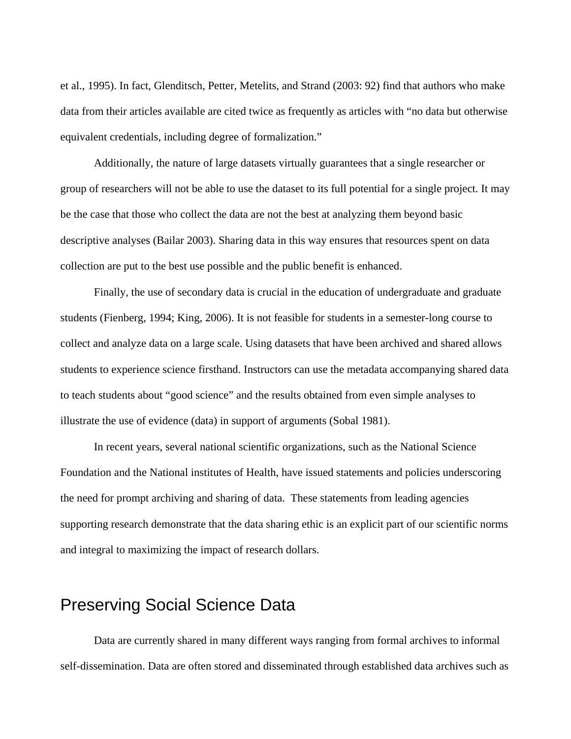et al., 1995). In fact, Glenditsch, Petter, Metelits, and Strand (2003: 92) find that authors who make data from their articles available are cited twice as frequently as articles with "no data but otherwise equivalent credentials, including degree of formalization."

 Additionally, the nature of large datasets virtually guarantees that a single researcher or group of researchers will not be able to use the dataset to its full potential for a single project. It may be the case that those who collect the data are not the best at analyzing them beyond basic descriptive analyses (Bailar 2003). Sharing data in this way ensures that resources spent on data collection are put to the best use possible and the public benefit is enhanced.

 Finally, the use of secondary data is crucial in the education of undergraduate and graduate students (Fienberg, 1994; King, 2006). It is not feasible for students in a semester-long course to collect and analyze data on a large scale. Using datasets that have been archived and shared allows students to experience science firsthand. Instructors can use the metadata accompanying shared data to teach students about "good science" and the results obtained from even simple analyses to illustrate the use of evidence (data) in support of arguments (Sobal 1981).

 In recent years, several national scientific organizations, such as the National Science Foundation and the National institutes of Health, have issued statements and policies underscoring the need for prompt archiving and sharing of data. These statements from leading agencies supporting research demonstrate that the data sharing ethic is an explicit part of our scientific norms and integral to maximizing the impact of research dollars.

## Preserving Social Science Data

 Data are currently shared in many different ways ranging from formal archives to informal self-dissemination. Data are often stored and disseminated through established data archives such as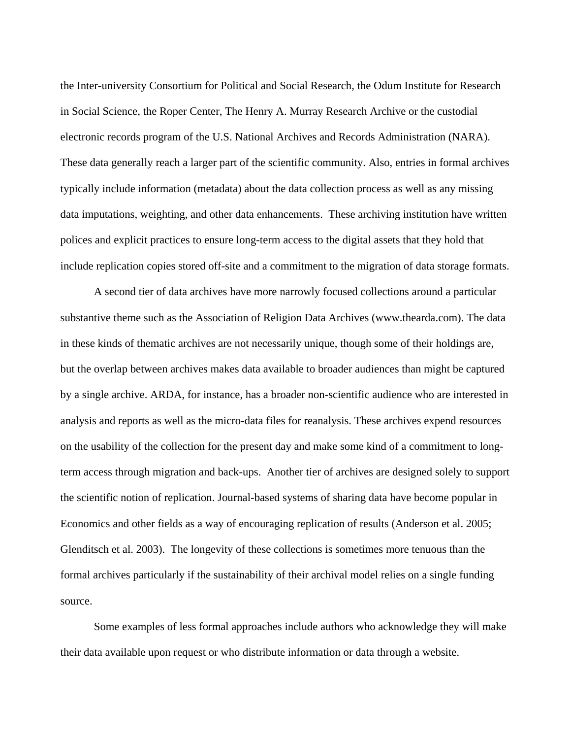the Inter-university Consortium for Political and Social Research, the Odum Institute for Research in Social Science, the Roper Center, The Henry A. Murray Research Archive or the custodial electronic records program of the U.S. National Archives and Records Administration (NARA). These data generally reach a larger part of the scientific community. Also, entries in formal archives typically include information (metadata) about the data collection process as well as any missing data imputations, weighting, and other data enhancements. These archiving institution have written polices and explicit practices to ensure long-term access to the digital assets that they hold that include replication copies stored off-site and a commitment to the migration of data storage formats.

 A second tier of data archives have more narrowly focused collections around a particular substantive theme such as the Association of Religion Data Archives (www.thearda.com). The data in these kinds of thematic archives are not necessarily unique, though some of their holdings are, but the overlap between archives makes data available to broader audiences than might be captured by a single archive. ARDA, for instance, has a broader non-scientific audience who are interested in analysis and reports as well as the micro-data files for reanalysis. These archives expend resources on the usability of the collection for the present day and make some kind of a commitment to longterm access through migration and back-ups. Another tier of archives are designed solely to support the scientific notion of replication. Journal-based systems of sharing data have become popular in Economics and other fields as a way of encouraging replication of results (Anderson et al. 2005; Glenditsch et al. 2003). The longevity of these collections is sometimes more tenuous than the formal archives particularly if the sustainability of their archival model relies on a single funding source.

 Some examples of less formal approaches include authors who acknowledge they will make their data available upon request or who distribute information or data through a website.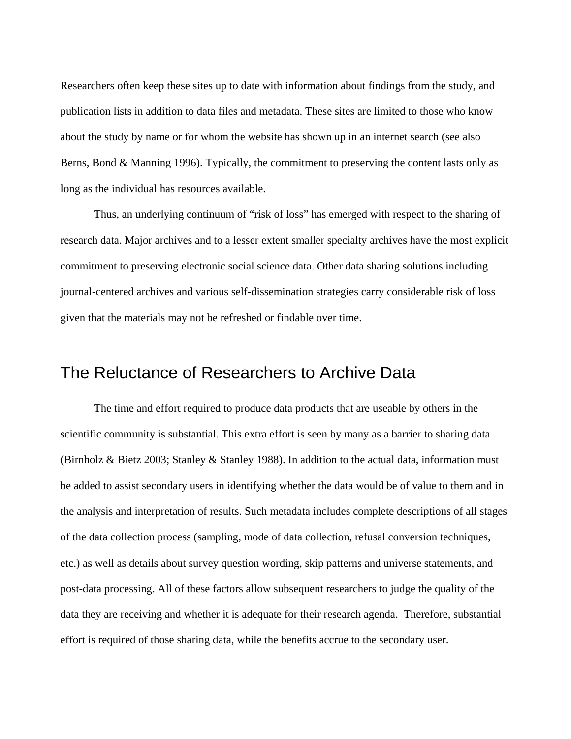Researchers often keep these sites up to date with information about findings from the study, and publication lists in addition to data files and metadata. These sites are limited to those who know about the study by name or for whom the website has shown up in an internet search (see also Berns, Bond & Manning 1996). Typically, the commitment to preserving the content lasts only as long as the individual has resources available.

 Thus, an underlying continuum of "risk of loss" has emerged with respect to the sharing of research data. Major archives and to a lesser extent smaller specialty archives have the most explicit commitment to preserving electronic social science data. Other data sharing solutions including journal-centered archives and various self-dissemination strategies carry considerable risk of loss given that the materials may not be refreshed or findable over time.

## The Reluctance of Researchers to Archive Data

 The time and effort required to produce data products that are useable by others in the scientific community is substantial. This extra effort is seen by many as a barrier to sharing data (Birnholz & Bietz 2003; Stanley & Stanley 1988). In addition to the actual data, information must be added to assist secondary users in identifying whether the data would be of value to them and in the analysis and interpretation of results. Such metadata includes complete descriptions of all stages of the data collection process (sampling, mode of data collection, refusal conversion techniques, etc.) as well as details about survey question wording, skip patterns and universe statements, and post-data processing. All of these factors allow subsequent researchers to judge the quality of the data they are receiving and whether it is adequate for their research agenda. Therefore, substantial effort is required of those sharing data, while the benefits accrue to the secondary user.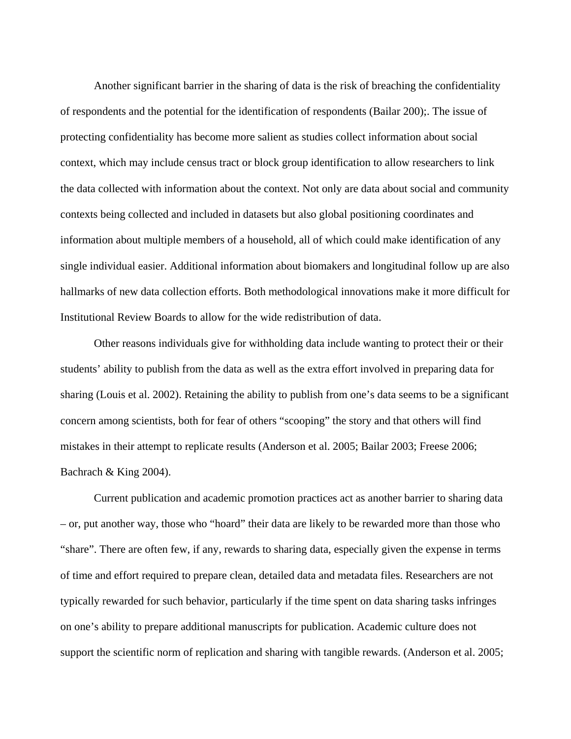Another significant barrier in the sharing of data is the risk of breaching the confidentiality of respondents and the potential for the identification of respondents (Bailar 200);. The issue of protecting confidentiality has become more salient as studies collect information about social context, which may include census tract or block group identification to allow researchers to link the data collected with information about the context. Not only are data about social and community contexts being collected and included in datasets but also global positioning coordinates and information about multiple members of a household, all of which could make identification of any single individual easier. Additional information about biomakers and longitudinal follow up are also hallmarks of new data collection efforts. Both methodological innovations make it more difficult for Institutional Review Boards to allow for the wide redistribution of data.

 Other reasons individuals give for withholding data include wanting to protect their or their students' ability to publish from the data as well as the extra effort involved in preparing data for sharing (Louis et al. 2002). Retaining the ability to publish from one's data seems to be a significant concern among scientists, both for fear of others "scooping" the story and that others will find mistakes in their attempt to replicate results (Anderson et al. 2005; Bailar 2003; Freese 2006; Bachrach & King 2004).

 Current publication and academic promotion practices act as another barrier to sharing data – or, put another way, those who "hoard" their data are likely to be rewarded more than those who "share". There are often few, if any, rewards to sharing data, especially given the expense in terms of time and effort required to prepare clean, detailed data and metadata files. Researchers are not typically rewarded for such behavior, particularly if the time spent on data sharing tasks infringes on one's ability to prepare additional manuscripts for publication. Academic culture does not support the scientific norm of replication and sharing with tangible rewards. (Anderson et al. 2005;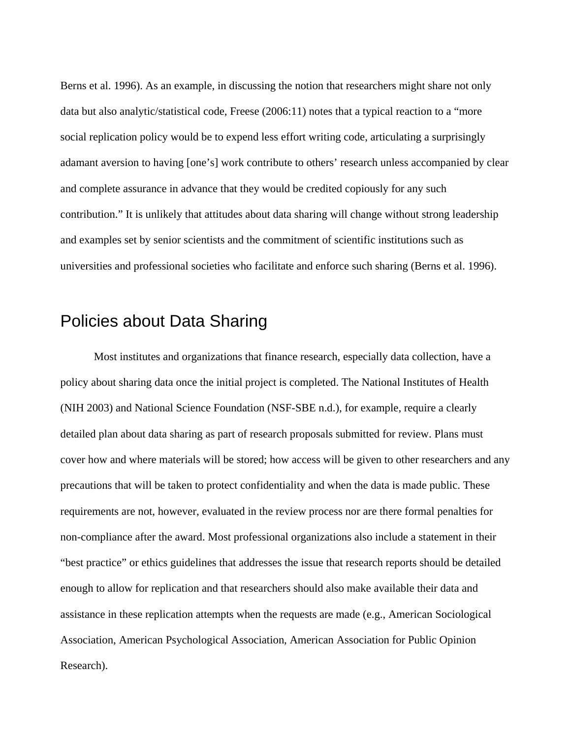Berns et al. 1996). As an example, in discussing the notion that researchers might share not only data but also analytic/statistical code, Freese (2006:11) notes that a typical reaction to a "more social replication policy would be to expend less effort writing code, articulating a surprisingly adamant aversion to having [one's] work contribute to others' research unless accompanied by clear and complete assurance in advance that they would be credited copiously for any such contribution." It is unlikely that attitudes about data sharing will change without strong leadership and examples set by senior scientists and the commitment of scientific institutions such as universities and professional societies who facilitate and enforce such sharing (Berns et al. 1996).

## Policies about Data Sharing

 Most institutes and organizations that finance research, especially data collection, have a policy about sharing data once the initial project is completed. The National Institutes of Health (NIH 2003) and National Science Foundation (NSF-SBE n.d.), for example, require a clearly detailed plan about data sharing as part of research proposals submitted for review. Plans must cover how and where materials will be stored; how access will be given to other researchers and any precautions that will be taken to protect confidentiality and when the data is made public. These requirements are not, however, evaluated in the review process nor are there formal penalties for non-compliance after the award. Most professional organizations also include a statement in their "best practice" or ethics guidelines that addresses the issue that research reports should be detailed enough to allow for replication and that researchers should also make available their data and assistance in these replication attempts when the requests are made (e.g., American Sociological Association, American Psychological Association, American Association for Public Opinion Research).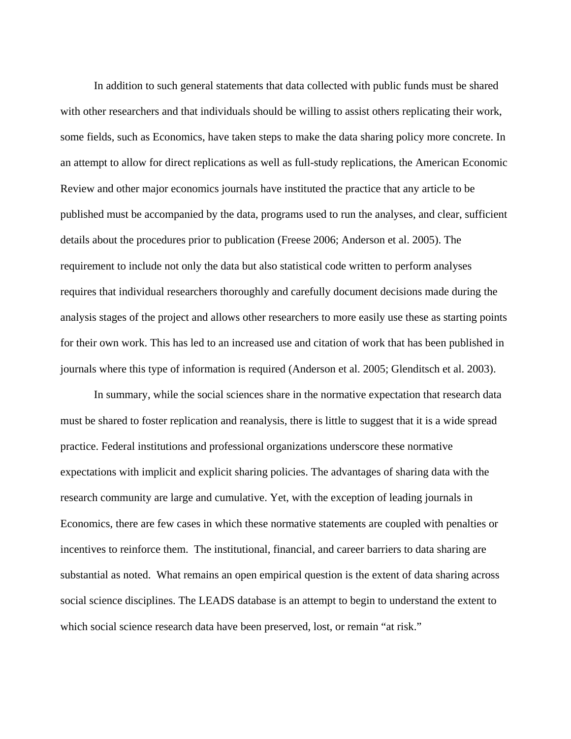In addition to such general statements that data collected with public funds must be shared with other researchers and that individuals should be willing to assist others replicating their work, some fields, such as Economics, have taken steps to make the data sharing policy more concrete. In an attempt to allow for direct replications as well as full-study replications, the American Economic Review and other major economics journals have instituted the practice that any article to be published must be accompanied by the data, programs used to run the analyses, and clear, sufficient details about the procedures prior to publication (Freese 2006; Anderson et al. 2005). The requirement to include not only the data but also statistical code written to perform analyses requires that individual researchers thoroughly and carefully document decisions made during the analysis stages of the project and allows other researchers to more easily use these as starting points for their own work. This has led to an increased use and citation of work that has been published in journals where this type of information is required (Anderson et al. 2005; Glenditsch et al. 2003).

 In summary, while the social sciences share in the normative expectation that research data must be shared to foster replication and reanalysis, there is little to suggest that it is a wide spread practice. Federal institutions and professional organizations underscore these normative expectations with implicit and explicit sharing policies. The advantages of sharing data with the research community are large and cumulative. Yet, with the exception of leading journals in Economics, there are few cases in which these normative statements are coupled with penalties or incentives to reinforce them. The institutional, financial, and career barriers to data sharing are substantial as noted. What remains an open empirical question is the extent of data sharing across social science disciplines. The LEADS database is an attempt to begin to understand the extent to which social science research data have been preserved, lost, or remain "at risk."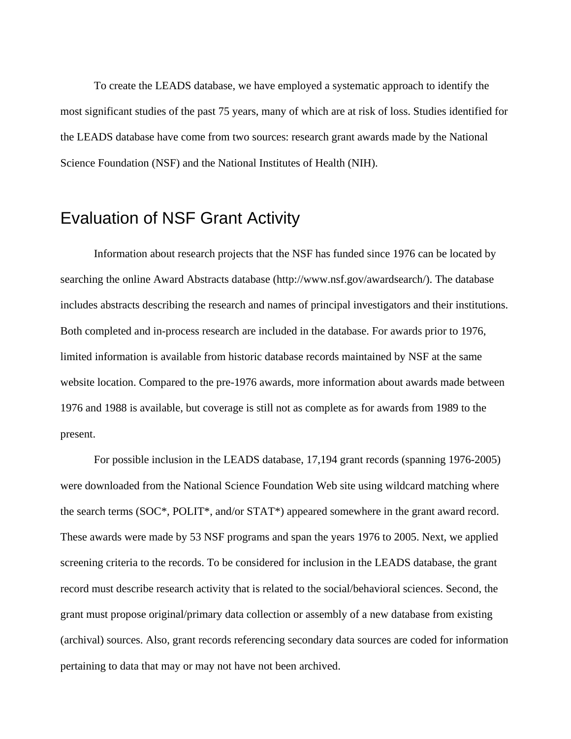To create the LEADS database, we have employed a systematic approach to identify the most significant studies of the past 75 years, many of which are at risk of loss. Studies identified for the LEADS database have come from two sources: research grant awards made by the National Science Foundation (NSF) and the National Institutes of Health (NIH).

#### Evaluation of NSF Grant Activity

 Information about research projects that the NSF has funded since 1976 can be located by searching the online Award Abstracts database (http://www.nsf.gov/awardsearch/). The database includes abstracts describing the research and names of principal investigators and their institutions. Both completed and in-process research are included in the database. For awards prior to 1976, limited information is available from historic database records maintained by NSF at the same website location. Compared to the pre-1976 awards, more information about awards made between 1976 and 1988 is available, but coverage is still not as complete as for awards from 1989 to the present.

 For possible inclusion in the LEADS database, 17,194 grant records (spanning 1976-2005) were downloaded from the National Science Foundation Web site using wildcard matching where the search terms (SOC\*, POLIT\*, and/or STAT\*) appeared somewhere in the grant award record. These awards were made by 53 NSF programs and span the years 1976 to 2005. Next, we applied screening criteria to the records. To be considered for inclusion in the LEADS database, the grant record must describe research activity that is related to the social/behavioral sciences. Second, the grant must propose original/primary data collection or assembly of a new database from existing (archival) sources. Also, grant records referencing secondary data sources are coded for information pertaining to data that may or may not have not been archived.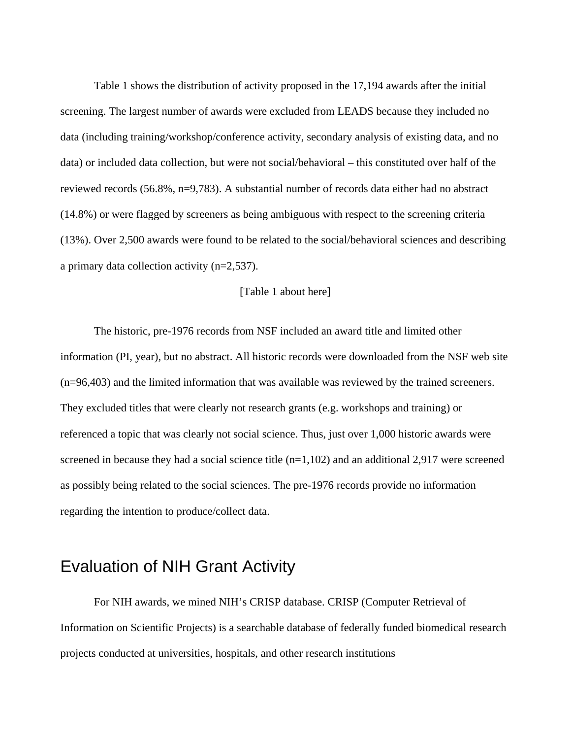Table 1 shows the distribution of activity proposed in the 17,194 awards after the initial screening. The largest number of awards were excluded from LEADS because they included no data (including training/workshop/conference activity, secondary analysis of existing data, and no data) or included data collection, but were not social/behavioral – this constituted over half of the reviewed records (56.8%, n=9,783). A substantial number of records data either had no abstract (14.8%) or were flagged by screeners as being ambiguous with respect to the screening criteria (13%). Over 2,500 awards were found to be related to the social/behavioral sciences and describing a primary data collection activity (n=2,537).

#### [Table 1 about here]

 The historic, pre-1976 records from NSF included an award title and limited other information (PI, year), but no abstract. All historic records were downloaded from the NSF web site (n=96,403) and the limited information that was available was reviewed by the trained screeners. They excluded titles that were clearly not research grants (e.g. workshops and training) or referenced a topic that was clearly not social science. Thus, just over 1,000 historic awards were screened in because they had a social science title  $(n=1,102)$  and an additional 2,917 were screened as possibly being related to the social sciences. The pre-1976 records provide no information regarding the intention to produce/collect data.

## Evaluation of NIH Grant Activity

 For NIH awards, we mined NIH's CRISP database. CRISP (Computer Retrieval of Information on Scientific Projects) is a searchable database of federally funded biomedical research projects conducted at universities, hospitals, and other research institutions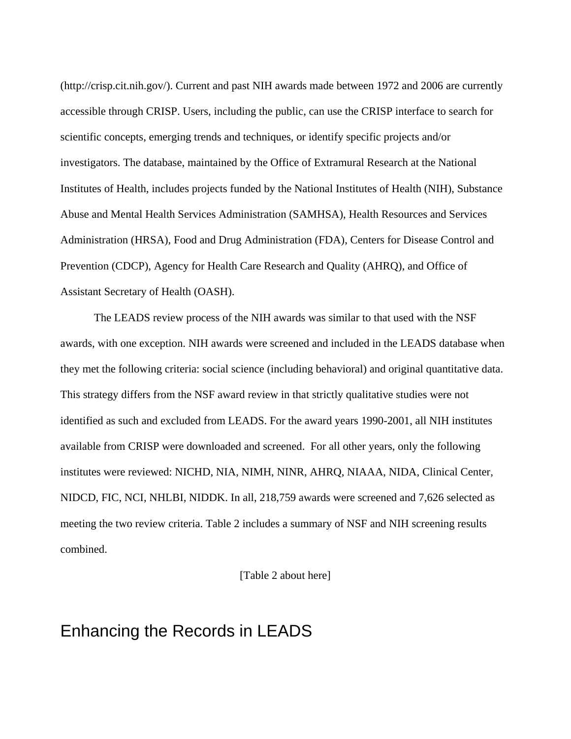(http://crisp.cit.nih.gov/). Current and past NIH awards made between 1972 and 2006 are currently accessible through CRISP. Users, including the public, can use the CRISP interface to search for scientific concepts, emerging trends and techniques, or identify specific projects and/or investigators. The database, maintained by the Office of Extramural Research at the National Institutes of Health, includes projects funded by the National Institutes of Health (NIH), Substance Abuse and Mental Health Services Administration (SAMHSA), Health Resources and Services Administration (HRSA), Food and Drug Administration (FDA), Centers for Disease Control and Prevention (CDCP), Agency for Health Care Research and Quality (AHRQ), and Office of Assistant Secretary of Health (OASH).

 The LEADS review process of the NIH awards was similar to that used with the NSF awards, with one exception. NIH awards were screened and included in the LEADS database when they met the following criteria: social science (including behavioral) and original quantitative data. This strategy differs from the NSF award review in that strictly qualitative studies were not identified as such and excluded from LEADS. For the award years 1990-2001, all NIH institutes available from CRISP were downloaded and screened. For all other years, only the following institutes were reviewed: NICHD, NIA, NIMH, NINR, AHRQ, NIAAA, NIDA, Clinical Center, NIDCD, FIC, NCI, NHLBI, NIDDK. In all, 218,759 awards were screened and 7,626 selected as meeting the two review criteria. Table 2 includes a summary of NSF and NIH screening results combined.

[Table 2 about here]

### Enhancing the Records in LEADS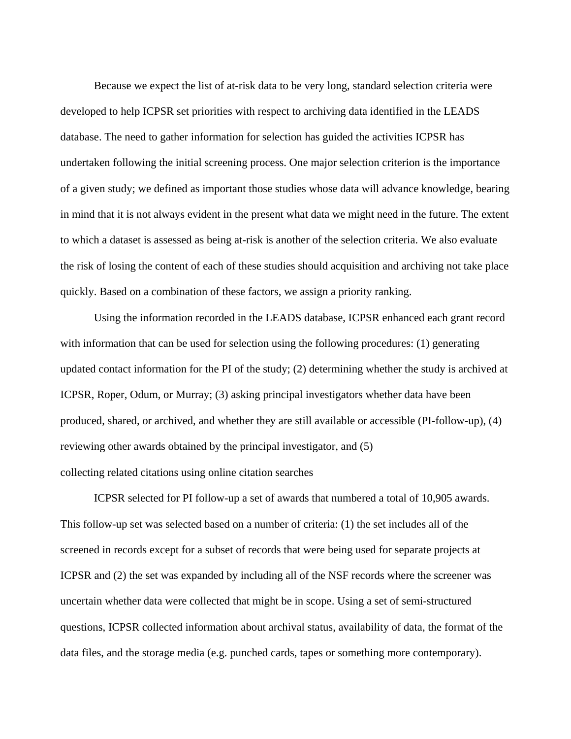Because we expect the list of at-risk data to be very long, standard selection criteria were developed to help ICPSR set priorities with respect to archiving data identified in the LEADS database. The need to gather information for selection has guided the activities ICPSR has undertaken following the initial screening process. One major selection criterion is the importance of a given study; we defined as important those studies whose data will advance knowledge, bearing in mind that it is not always evident in the present what data we might need in the future. The extent to which a dataset is assessed as being at-risk is another of the selection criteria. We also evaluate the risk of losing the content of each of these studies should acquisition and archiving not take place quickly. Based on a combination of these factors, we assign a priority ranking.

 Using the information recorded in the LEADS database, ICPSR enhanced each grant record with information that can be used for selection using the following procedures: (1) generating updated contact information for the PI of the study; (2) determining whether the study is archived at ICPSR, Roper, Odum, or Murray; (3) asking principal investigators whether data have been produced, shared, or archived, and whether they are still available or accessible (PI-follow-up), (4) reviewing other awards obtained by the principal investigator, and (5) collecting related citations using online citation searches

 ICPSR selected for PI follow-up a set of awards that numbered a total of 10,905 awards. This follow-up set was selected based on a number of criteria: (1) the set includes all of the screened in records except for a subset of records that were being used for separate projects at ICPSR and (2) the set was expanded by including all of the NSF records where the screener was uncertain whether data were collected that might be in scope. Using a set of semi-structured questions, ICPSR collected information about archival status, availability of data, the format of the data files, and the storage media (e.g. punched cards, tapes or something more contemporary).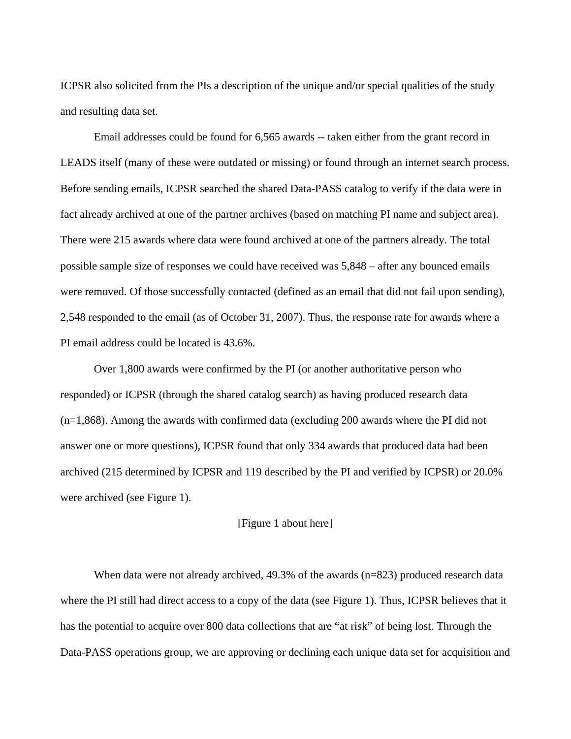ICPSR also solicited from the PIs a description of the unique and/or special qualities of the study and resulting data set.

 Email addresses could be found for 6,565 awards -- taken either from the grant record in LEADS itself (many of these were outdated or missing) or found through an internet search process. Before sending emails, ICPSR searched the shared Data-PASS catalog to verify if the data were in fact already archived at one of the partner archives (based on matching PI name and subject area). There were 215 awards where data were found archived at one of the partners already. The total possible sample size of responses we could have received was 5,848 – after any bounced emails were removed. Of those successfully contacted (defined as an email that did not fail upon sending), 2,548 responded to the email (as of October 31, 2007). Thus, the response rate for awards where a PI email address could be located is 43.6%.

 Over 1,800 awards were confirmed by the PI (or another authoritative person who responded) or ICPSR (through the shared catalog search) as having produced research data (n=1,868). Among the awards with confirmed data (excluding 200 awards where the PI did not answer one or more questions), ICPSR found that only 334 awards that produced data had been archived (215 determined by ICPSR and 119 described by the PI and verified by ICPSR) or 20.0% were archived (see Figure 1).

#### [Figure 1 about here]

When data were not already archived, 49.3% of the awards (n=823) produced research data where the PI still had direct access to a copy of the data (see Figure 1). Thus, ICPSR believes that it has the potential to acquire over 800 data collections that are "at risk" of being lost. Through the Data-PASS operations group, we are approving or declining each unique data set for acquisition and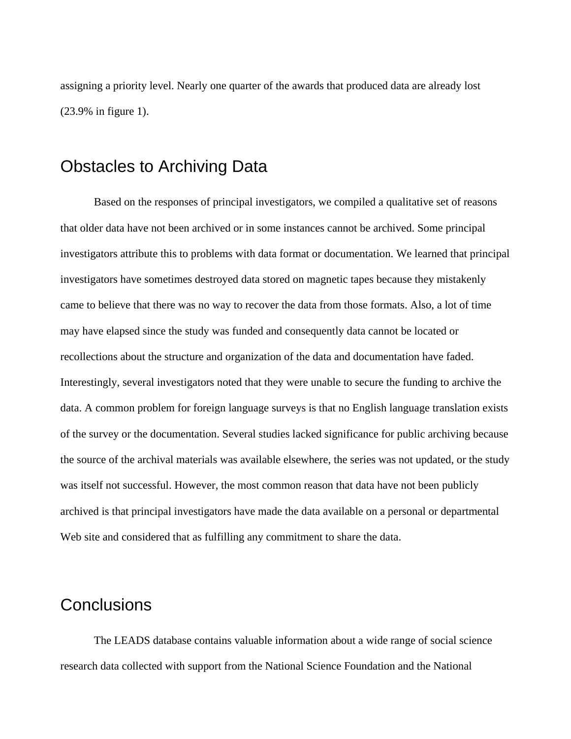assigning a priority level. Nearly one quarter of the awards that produced data are already lost (23.9% in figure 1).

## Obstacles to Archiving Data

 Based on the responses of principal investigators, we compiled a qualitative set of reasons that older data have not been archived or in some instances cannot be archived. Some principal investigators attribute this to problems with data format or documentation. We learned that principal investigators have sometimes destroyed data stored on magnetic tapes because they mistakenly came to believe that there was no way to recover the data from those formats. Also, a lot of time may have elapsed since the study was funded and consequently data cannot be located or recollections about the structure and organization of the data and documentation have faded. Interestingly, several investigators noted that they were unable to secure the funding to archive the data. A common problem for foreign language surveys is that no English language translation exists of the survey or the documentation. Several studies lacked significance for public archiving because the source of the archival materials was available elsewhere, the series was not updated, or the study was itself not successful. However, the most common reason that data have not been publicly archived is that principal investigators have made the data available on a personal or departmental Web site and considered that as fulfilling any commitment to share the data.

## **Conclusions**

 The LEADS database contains valuable information about a wide range of social science research data collected with support from the National Science Foundation and the National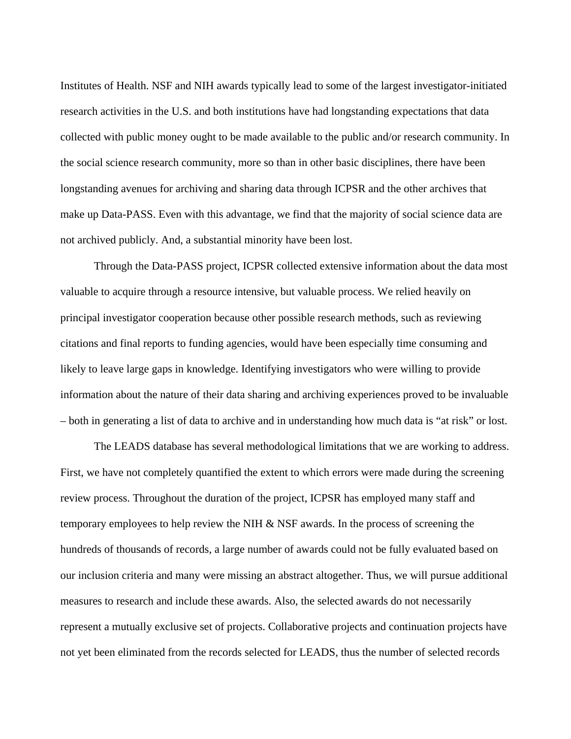Institutes of Health. NSF and NIH awards typically lead to some of the largest investigator-initiated research activities in the U.S. and both institutions have had longstanding expectations that data collected with public money ought to be made available to the public and/or research community. In the social science research community, more so than in other basic disciplines, there have been longstanding avenues for archiving and sharing data through ICPSR and the other archives that make up Data-PASS. Even with this advantage, we find that the majority of social science data are not archived publicly. And, a substantial minority have been lost.

 Through the Data-PASS project, ICPSR collected extensive information about the data most valuable to acquire through a resource intensive, but valuable process. We relied heavily on principal investigator cooperation because other possible research methods, such as reviewing citations and final reports to funding agencies, would have been especially time consuming and likely to leave large gaps in knowledge. Identifying investigators who were willing to provide information about the nature of their data sharing and archiving experiences proved to be invaluable – both in generating a list of data to archive and in understanding how much data is "at risk" or lost.

 The LEADS database has several methodological limitations that we are working to address. First, we have not completely quantified the extent to which errors were made during the screening review process. Throughout the duration of the project, ICPSR has employed many staff and temporary employees to help review the NIH & NSF awards. In the process of screening the hundreds of thousands of records, a large number of awards could not be fully evaluated based on our inclusion criteria and many were missing an abstract altogether. Thus, we will pursue additional measures to research and include these awards. Also, the selected awards do not necessarily represent a mutually exclusive set of projects. Collaborative projects and continuation projects have not yet been eliminated from the records selected for LEADS, thus the number of selected records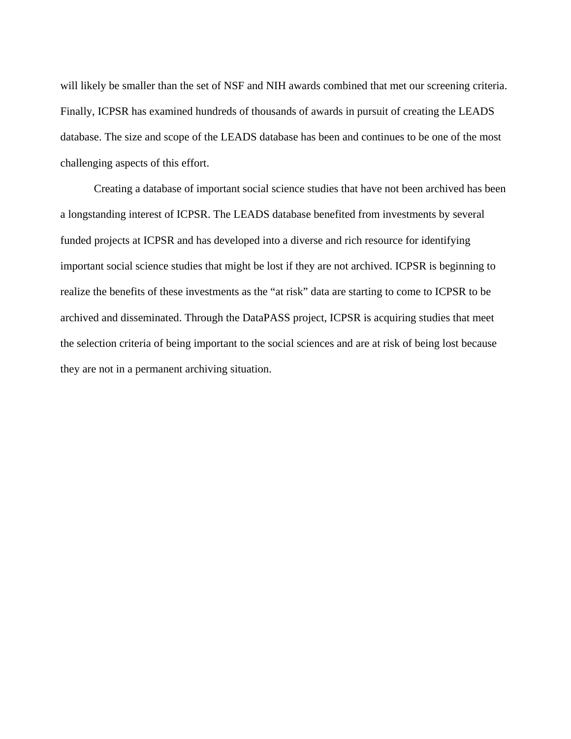will likely be smaller than the set of NSF and NIH awards combined that met our screening criteria. Finally, ICPSR has examined hundreds of thousands of awards in pursuit of creating the LEADS database. The size and scope of the LEADS database has been and continues to be one of the most challenging aspects of this effort.

 Creating a database of important social science studies that have not been archived has been a longstanding interest of ICPSR. The LEADS database benefited from investments by several funded projects at ICPSR and has developed into a diverse and rich resource for identifying important social science studies that might be lost if they are not archived. ICPSR is beginning to realize the benefits of these investments as the "at risk" data are starting to come to ICPSR to be archived and disseminated. Through the DataPASS project, ICPSR is acquiring studies that meet the selection criteria of being important to the social sciences and are at risk of being lost because they are not in a permanent archiving situation.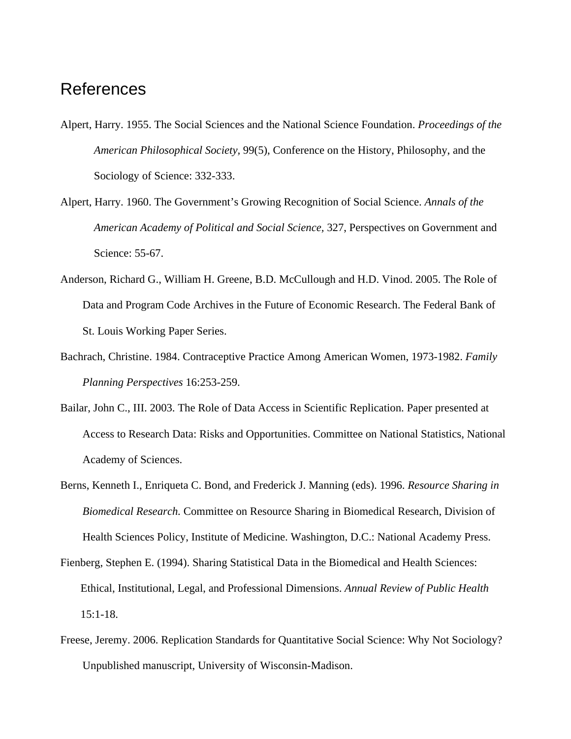### References

- Alpert, Harry. 1955. The Social Sciences and the National Science Foundation. *Proceedings of the American Philosophical Society,* 99(5), Conference on the History, Philosophy, and the Sociology of Science: 332-333.
- Alpert, Harry. 1960. The Government's Growing Recognition of Social Science. *Annals of the American Academy of Political and Social Science,* 327, Perspectives on Government and Science: 55-67.
- Anderson, Richard G., William H. Greene, B.D. McCullough and H.D. Vinod. 2005. The Role of Data and Program Code Archives in the Future of Economic Research. The Federal Bank of St. Louis Working Paper Series.
- Bachrach, Christine. 1984. Contraceptive Practice Among American Women, 1973-1982. *Family Planning Perspectives* 16:253-259.
- Bailar, John C., III. 2003. The Role of Data Access in Scientific Replication. Paper presented at Access to Research Data: Risks and Opportunities. Committee on National Statistics, National Academy of Sciences.
- Berns, Kenneth I., Enriqueta C. Bond, and Frederick J. Manning (eds). 1996. *Resource Sharing in Biomedical Research.* Committee on Resource Sharing in Biomedical Research, Division of Health Sciences Policy, Institute of Medicine. Washington, D.C.: National Academy Press.
- Fienberg, Stephen E. (1994). Sharing Statistical Data in the Biomedical and Health Sciences: Ethical, Institutional, Legal, and Professional Dimensions. *Annual Review of Public Health* 15:1-18.
- Freese, Jeremy. 2006. Replication Standards for Quantitative Social Science: Why Not Sociology? Unpublished manuscript, University of Wisconsin-Madison.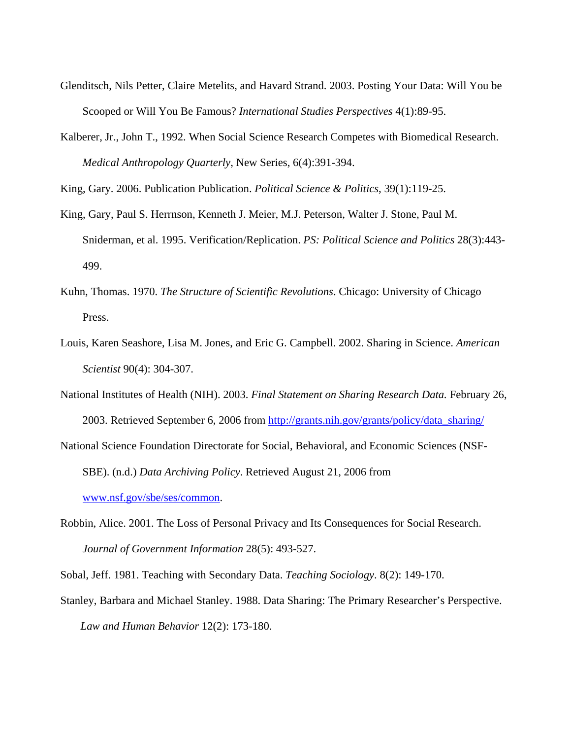- Glenditsch, Nils Petter, Claire Metelits, and Havard Strand. 2003. Posting Your Data: Will You be Scooped or Will You Be Famous? *International Studies Perspectives* 4(1):89-95.
- Kalberer, Jr., John T., 1992. When Social Science Research Competes with Biomedical Research. *Medical Anthropology Quarterly*, New Series, 6(4):391-394.

King, Gary. 2006. Publication Publication. *Political Science & Politics*, 39(1):119-25.

- King, Gary, Paul S. Herrnson, Kenneth J. Meier, M.J. Peterson, Walter J. Stone, Paul M. Sniderman, et al. 1995. Verification/Replication. *PS: Political Science and Politics* 28(3):443- 499.
- Kuhn, Thomas. 1970. *The Structure of Scientific Revolutions*. Chicago: University of Chicago Press.
- Louis, Karen Seashore, Lisa M. Jones, and Eric G. Campbell. 2002. Sharing in Science. *American Scientist* 90(4): 304-307.
- National Institutes of Health (NIH). 2003. *Final Statement on Sharing Research Data.* February 26, 2003. Retrieved September 6, 2006 from [http://grants.nih.gov/grants/policy/data\\_sharing/](http://grants.nih.gov/grants/policy/data_sharing/)

National Science Foundation Directorate for Social, Behavioral, and Economic Sciences (NSF-SBE). (n.d.) *Data Archiving Policy*. Retrieved August 21, 2006 from [www.nsf.gov/sbe/ses/common.](http://www.nsf.gov/sbe/ses/common)

Robbin, Alice. 2001. The Loss of Personal Privacy and Its Consequences for Social Research. *Journal of Government Information* 28(5): 493-527.

Sobal, Jeff. 1981. Teaching with Secondary Data. *Teaching Sociology*. 8(2): 149-170.

Stanley, Barbara and Michael Stanley. 1988. Data Sharing: The Primary Researcher's Perspective. *Law and Human Behavior* 12(2): 173-180.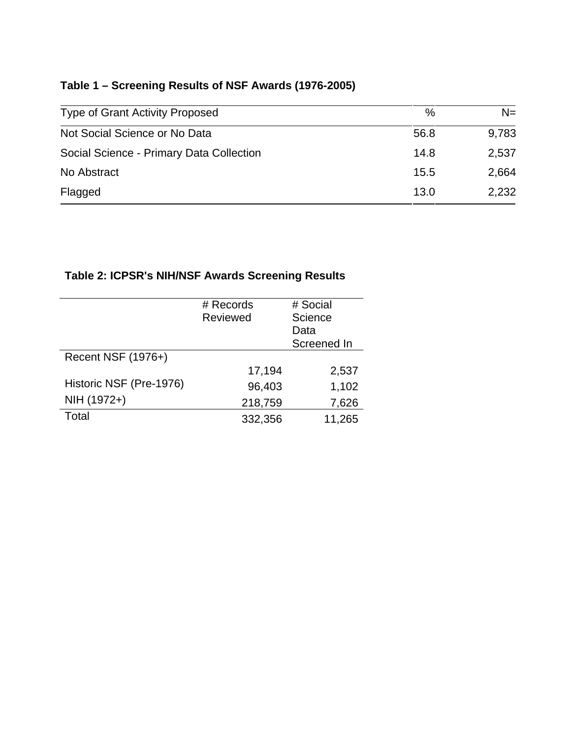## **Table 1 – Screening Results of NSF Awards (1976-2005)**

| <b>Type of Grant Activity Proposed</b>   | $\%$ | $N =$ |
|------------------------------------------|------|-------|
| Not Social Science or No Data            | 56.8 | 9,783 |
| Social Science - Primary Data Collection | 14.8 | 2,537 |
| No Abstract                              | 15.5 | 2,664 |
| Flagged                                  | 13.0 | 2,232 |

#### **Table 2: ICPSR's NIH/NSF Awards Screening Results**

|                         | # Records | # Social    |
|-------------------------|-----------|-------------|
|                         | Reviewed  | Science     |
|                         |           | Data        |
|                         |           | Screened In |
| Recent NSF (1976+)      |           |             |
|                         | 17,194    | 2,537       |
| Historic NSF (Pre-1976) | 96,403    | 1,102       |
| NIH (1972+)             | 218,759   | 7,626       |
| Total                   | 332,356   | 11,265      |